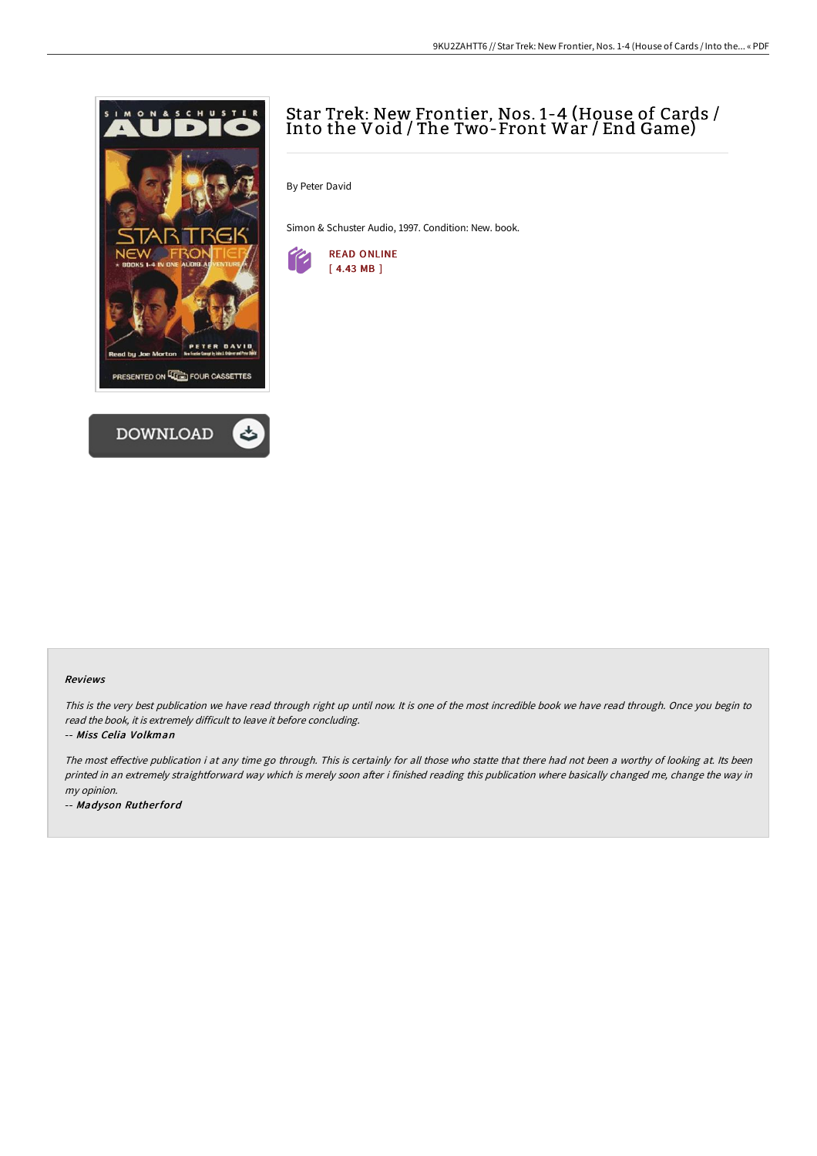



# Star Trek: New Frontier, Nos. 1-4 (House of Cards / Into the Void / The Two-Front War / End Game)

By Peter David

Simon & Schuster Audio, 1997. Condition: New. book.



#### Reviews

This is the very best publication we have read through right up until now. It is one of the most incredible book we have read through. Once you begin to read the book, it is extremely difficult to leave it before concluding.

-- Miss Celia Volkman

The most effective publication i at any time go through. This is certainly for all those who statte that there had not been a worthy of looking at. Its been printed in an extremely straightforward way which is merely soon after i finished reading this publication where basically changed me, change the way in my opinion.

-- Madyson Rutherford